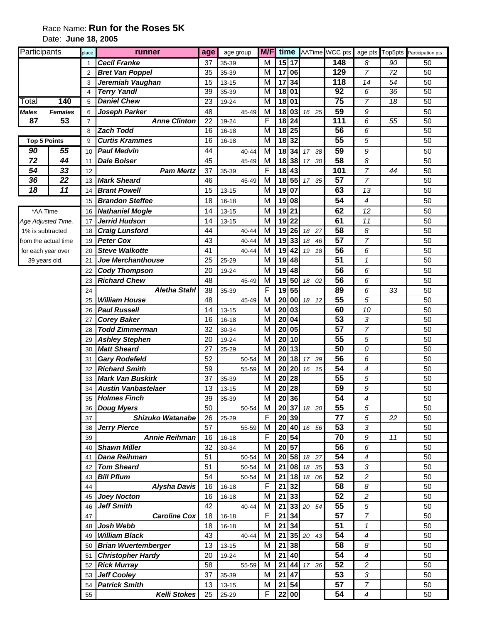## Race Name: **Run for the Roses 5K** Date: **June 18, 2005**

| Participants         |                | place          | runner                     | age | age group | M/F                     | time              |      |             | AATime WCC pts   |                  | age pts Top5pts | Participation pts |
|----------------------|----------------|----------------|----------------------------|-----|-----------|-------------------------|-------------------|------|-------------|------------------|------------------|-----------------|-------------------|
|                      |                |                | <b>Cecil Franke</b>        | 37  | 35-39     | М                       | 15 17             |      |             | $\overline{148}$ | 8                | 90              | 50                |
|                      |                | $\overline{2}$ | <b>Bret Van Poppel</b>     | 35  | 35-39     | М                       | 17                | 06   |             | 129              | $\overline{7}$   | 72              | 50                |
|                      |                | 3              | Jeremiah Vaughan           | 15  | $13 - 15$ | М                       | 17                | 34   |             | 118              | 14               | 54              | 50                |
|                      |                | 4              | <b>Terry Yandl</b>         | 39  | 35-39     | М                       | 18                | 01   |             | 92               | 6                | 36              | 50                |
| Total                | 140            | 5              | <b>Daniel Chew</b>         | 23  | 19-24     | М                       | 18                | l 01 |             | 75               | $\overline{7}$   | 18              | 50                |
| Males                | <b>Females</b> | 6              | Joseph Parker              | 48  | 45-49     | M                       | 18                | 03   | 16 25       | 59               | 9                |                 | 50                |
| 87                   | 53             | $\overline{7}$ | <b>Anne Clinton</b>        | 22  | 19-24     | F                       | $18\overline{24}$ |      |             | 111              | 6                | 55              | 50                |
|                      |                | 8              | <b>Zach Todd</b>           | 16  | $16 - 18$ | $\overline{\mathsf{M}}$ | $18\overline{25}$ |      |             | 56               | 6                |                 | 50                |
| <b>Top 5 Points</b>  |                | 9              | <b>Curtis Krammes</b>      | 16  | 16-18     | М                       | 18 32             |      |             | 55               | 5                |                 | 50                |
| 90                   | 55             | 10             | <b>Paul Medvin</b>         | 44  | 40-44     | M                       | 18                | 34   | 38<br>17    | 59               | 9                |                 | 50                |
| 72                   | 44             | 11             | <b>Dale Bolser</b>         | 45  | 45-49     | M                       | 18 38             |      | 30<br>17    | 58               | 8                |                 | 50                |
| 54                   | 33             | 12             | <b>Pam Mertz</b>           | 37  | 35-39     | F                       | 18                | 43   |             | 101              | $\overline{7}$   | 44              | 50                |
| 36                   | 22             | 13             | <b>Mark Sheard</b>         | 46  | 45-49     | M                       | 18                | 55   | 17 35       | 57               | $\overline{7}$   |                 | 50                |
| 18                   | 11             | 14             | <b>Brant Powell</b>        | 15  | 13-15     | M                       | 19                | 07   |             | 63               | 13               |                 | 50                |
|                      |                | 15             | <b>Brandon Steffee</b>     | 18  | 16-18     | M                       | 19                | 08   |             | 54               | 4                |                 | 50                |
| *AA Time             |                | 16             | <b>Nathaniel Mogle</b>     | 14  | 13-15     | M                       | 19                | 21   |             | 62               | 12               |                 | 50                |
| Age Adjusted Time.   |                | 17             | <b>Jerrid Hudson</b>       | 14  | $13 - 15$ | M                       | 19                | 22   |             | 61               | 11               |                 | 50                |
| 1% is subtracted     |                | 18             | <b>Craig Lunsford</b>      | 44  | 40-44     | M                       | $19$   26         |      | 18<br>27    | 58               | 8                |                 | 50                |
| from the actual time |                | 19             | <b>Peter Cox</b>           | 43  | 40-44     | М                       | 19                | 33   | 18<br>46    | 57               | $\overline{7}$   |                 | 50                |
| for each year over   |                | 20             | <b>Steve Walkotte</b>      | 41  | $40 - 44$ | M                       | 19                | 42   | 18<br>19    | 56               | 6                |                 | 50                |
| 39 years old.        |                | 21             | Joe Merchanthouse          | 25  | 25-29     | M                       | 19                | 48   |             | 51               | $\mathcal{I}$    |                 | 50                |
|                      |                | 22             | <b>Cody Thompson</b>       | 20  | 19-24     | M                       | 19                | 48   |             | 56               | 6                |                 | 50                |
|                      |                | 23             | <b>Richard Chew</b>        | 48  | 45-49     | M                       | 19                | 50   | 18 02       | $\overline{56}$  | 6                |                 | 50                |
|                      |                | 24             | <b>Aletha Stahl</b>        | 38  | 35-39     | F                       | 19                | 55   |             | 89               | 6                | 33              | 50                |
|                      |                | 25             | <b>William House</b>       | 48  | 45-49     | M                       | 20                | 00   | 12<br>18    | 55               | 5                |                 | 50                |
|                      |                | 26             | <b>Paul Russell</b>        | 14  | $13 - 15$ | M                       | 20                | 03   |             | 60               | 10               |                 | 50                |
|                      |                | 27             | <b>Corey Baker</b>         | 16  | 16-18     | M                       | 20                | 04   |             | 53               | 3                |                 | 50                |
|                      |                | 28             | <b>Todd Zimmerman</b>      | 32  | 30-34     | M                       | 20                | 05   |             | 57               | $\overline{7}$   |                 | 50                |
|                      |                | 29             | <b>Ashley Stephen</b>      | 20  | 19-24     | M                       | 20                | 10   |             | 55               | 5                |                 | 50                |
|                      |                | 30             | <b>Matt Sheard</b>         | 27  | 25-29     | М                       | 20                | 13   |             | 50               | 0                |                 | 50                |
|                      |                | 31             | <b>Gary Rodefeld</b>       | 52  | 50-54     | M                       | 20                | 18   | 17<br>39    | 56               | 6                |                 | 50                |
|                      |                | 32             | <b>Richard Smith</b>       | 59  | 55-59     | M                       | 20                | 20   | 15<br>16    | 54               | 4                |                 | 50                |
|                      |                | 33             | <b>Mark Van Buskirk</b>    | 37  | 35-39     | M                       | 20                | 28   |             | 55               | 5                |                 | 50                |
|                      |                | 34             | <b>Austin Vanbastelaer</b> | 13  | $13 - 15$ | M                       | 20                | 28   |             | $\overline{59}$  | $\boldsymbol{9}$ |                 | 50                |
|                      |                | 35             | <b>Holmes Finch</b>        | 39  | 35-39     | M                       | 20 36             |      |             | $\overline{54}$  | 4                |                 | 50                |
|                      |                | 36             | <b>Doug Myers</b>          | 50  | 50-54     | M                       | 20 37             |      | 18 20       | 55               | 5                |                 | 50                |
|                      |                | 37             | Shizuko Watanabe           | 26  | 25-29     | F                       | 20 39             |      |             | 77               | 5                | 22              | 50                |
|                      |                | 38             | <b>Jerry Pierce</b>        | 57  | 55-59     | M                       | 20 40             |      | 16 56       | 53               | $\sqrt{3}$       |                 | 50                |
|                      |                | 39             | <b>Annie Reihman</b>       | 16  | 16-18     | F                       | 20 54             |      |             | 70               | $\boldsymbol{9}$ | 11              | 50                |
|                      |                | 40             | <b>Shawn Miller</b>        | 32  | 30-34     | M                       | 20                | 57   |             | 56               | 6                |                 | 50                |
|                      |                |                | 41 Dana Reihman            | 51  | 50-54     | M                       |                   |      | 20 58 18 27 | 54               | 4                |                 | 50                |
|                      |                | 42             | <b>Tom Sheard</b>          | 51  | 50-54     | M                       | 21                | 08   | 18<br>35    | 53               | 3                |                 | 50                |
|                      |                | 43             | <b>Bill Pflum</b>          | 54  | 50-54     | M                       | 21                | 18   | 18 06       | 52               | $\overline{c}$   |                 | 50                |
|                      |                | 44             | <b>Alysha Davis</b>        | 16  | 16-18     | F                       | 21                | 32   |             | 58               | 8                |                 | 50                |
|                      |                | 45             | <b>Joey Nocton</b>         | 16  | 16-18     | M                       | 21                | 33   |             | 52               | $\boldsymbol{2}$ |                 | 50                |
|                      |                | 46             | <b>Jeff Smith</b>          | 42  | 40-44     | M                       | 21                | 33   | 20 54       | 55               | $\sqrt{5}$       |                 | 50                |
|                      |                | 47             | <b>Caroline Cox</b>        | 18  | $16 - 18$ | $\mathsf F$             | 21                | 34   |             | $\overline{57}$  | $\overline{7}$   |                 | 50                |
|                      |                | 48             | Josh Webb                  | 18  | 16-18     | M                       | 21                | 34   |             | 51               | 1                |                 | 50                |
|                      |                | 49             | <b>William Black</b>       | 43  | 40-44     | М                       | 21                | 35   | 20<br>43    | 54               | 4                |                 | 50                |
|                      |                |                | 50 Brian Wuertemberger     | 13  | 13-15     | М                       | 21                | 38   |             | 58               | 8                |                 | 50                |
|                      |                | 51             | <b>Christopher Hardy</b>   | 20  | 19-24     | M                       | 21                | 40   |             | 54               | 4                |                 | 50                |
|                      |                |                | 52 Rick Murray             | 58  | 55-59     | M                       | 21                | 44   | 17 36       | 52               | $\boldsymbol{2}$ |                 | 50                |
|                      |                |                | 53 Jeff Cooley             | 37  | 35-39     | M                       | 21                | 47   |             | 53               | 3                |                 | 50                |
|                      |                | 54             | <b>Patrick Smith</b>       | 13  | $13 - 15$ | M                       | 21                | 54   |             | 57               | $\boldsymbol{7}$ |                 | 50                |
|                      |                | 55             | <b>Kelli Stokes</b>        | 25  | 25-29     | F                       | 22 00             |      |             | 54               | 4                |                 | 50                |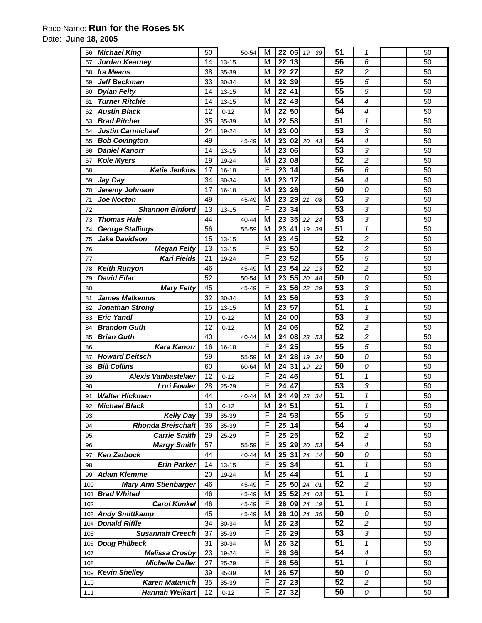## Race Name: **Run for the Roses 5K**

Date: **June 18, 2005** 

| 56  | <b>Michael King</b>         | 50 | 50-54     | M           | 22              | 05              | 19<br>39           | 51              | 1                        | 50 |
|-----|-----------------------------|----|-----------|-------------|-----------------|-----------------|--------------------|-----------------|--------------------------|----|
| 57  | Jordan Kearney              | 14 | 13-15     | M           | 22              | 13              |                    | 56              | 6                        | 50 |
| 58  | <b>Ira Means</b>            | 38 | 35-39     | M           | 22              | 27              |                    | 52              | $\overline{c}$           | 50 |
| 59  | <b>Jeff Beckman</b>         | 33 | 30-34     | M           | 22              | 39              |                    | 55              | 5                        | 50 |
| 60  | <b>Dylan Felty</b>          | 14 | $13 - 15$ | M           | 22              | 41              |                    | 55              | 5                        | 50 |
| 61  | <b>Turner Ritchie</b>       | 14 | $13 - 15$ | M           | 22              | 43              |                    | 54              | $\overline{\mathcal{A}}$ | 50 |
| 62  | <b>Austin Black</b>         | 12 | $0 - 12$  | M           | 22              | 50              |                    | 54              | $\overline{\mathcal{A}}$ | 50 |
| 63  | <b>Brad Pitcher</b>         | 35 | 35-39     | M           | $\overline{22}$ | $\overline{58}$ |                    | 51              | $\mathbf{1}$             | 50 |
| 64  | <b>Justin Carmichael</b>    | 24 | 19-24     | M           | 23              | 00              |                    | 53              | 3                        | 50 |
| 65  | <b>Bob Covington</b>        | 49 | 45-49     | M           | 23              | 02              | 20<br>43           | $\overline{54}$ | $\overline{\mathcal{A}}$ | 50 |
| 66  | <b>Daniel Kanorr</b>        | 14 | $13 - 15$ | M           | 23              | 06              |                    | 53              | 3                        | 50 |
| 67  | <b>Kole Myers</b>           | 19 | 19-24     | M           | 23              | 08              |                    | $\overline{52}$ | $\boldsymbol{2}$         | 50 |
| 68  | <b>Katie Jenkins</b>        | 17 | $16 - 18$ | F           | 23              | 14              |                    | 56              | 6                        | 50 |
| 69  | Jay Day                     | 34 | 30-34     | M           | 23              | 17              |                    | 54              | $\overline{\mathcal{A}}$ | 50 |
| 70  | Jeremy Johnson              | 17 | 16-18     | M           | 23              | 26              |                    | 50              | 0                        | 50 |
| 71  | <b>Joe Nocton</b>           | 49 | 45-49     | M           | 23              | 29              | 21<br>08           | 53              | 3                        | 50 |
| 72  | <b>Shannon Binford</b>      | 13 | $13 - 15$ | F           | 23              | 34              |                    | 53              | 3                        | 50 |
| 73  | <b>Thomas Hale</b>          | 44 | 40-44     | M           | 23              | 35              | 22<br>24           | $\overline{53}$ | 3                        | 50 |
| 74  | <b>George Stallings</b>     | 56 | 55-59     | M           | 23              | 41              | 19<br>39           | 51              | 1                        | 50 |
| 75  | <b>Jake Davidson</b>        | 15 | $13 - 15$ | M           | 23              | 45              |                    | 52              | 2                        | 50 |
| 76  | <b>Megan Felty</b>          | 13 | $13 - 15$ | F           | 23              | 50              |                    | $\overline{52}$ | $\boldsymbol{2}$         | 50 |
| 77  | <b>Kari Fields</b>          | 21 | 19-24     | $\mathsf F$ | 23              | $\overline{52}$ |                    | 55              | 5                        | 50 |
| 78  | <b>Keith Runyon</b>         | 46 | 45-49     | M           | 23              | 54              | 22<br>13           | $\overline{52}$ | $\overline{c}$           | 50 |
| 79  | <b>David Eilar</b>          | 52 | 50-54     | M           | 23              | 55              | 20<br>48           | 50              | 0                        | 50 |
| 80  | <b>Mary Felty</b>           | 45 | 45-49     | F           | 23              | 56              | 22<br>29           | 53              | 3                        | 50 |
| 81  | <b>James Malkemus</b>       | 32 | 30-34     | M           | 23              | 56              |                    | 53              | 3                        | 50 |
| 82  | <b>Jonathan Strong</b>      | 15 | $13 - 15$ | M           | 23              | 57              |                    | 51              | $\mathbf{1}$             | 50 |
| 83  | <b>Eric Yandl</b>           | 10 | $0 - 12$  | M           | 24              | 00              |                    | 53              | 3                        | 50 |
| 84  | <b>Brandon Guth</b>         | 12 | $0 - 12$  | M           | 24              | 06              |                    | 52              | $\boldsymbol{2}$         | 50 |
| 85  | <b>Brian Guth</b>           | 40 | 40-44     | M           | 24              | 08              | 23<br>53           | 52              | $\overline{c}$           | 50 |
| 86  | <b>Kara Kanorr</b>          | 16 | $16 - 18$ | F           | 24              | 25              |                    | 55              | 5                        | 50 |
| 87  | <b>Howard Deitsch</b>       | 59 | 55-59     | M           | 24              | 28              | 19<br>34           | 50              | 0                        | 50 |
| 88  | <b>Bill Collins</b>         | 60 | 60-64     | M           | 24              | 31              | 22<br>19           | 50              | 0                        | 50 |
| 89  | <b>Alexis Vanbastelaer</b>  | 12 | $0 - 12$  | F           | 24              | 46              |                    | 51              | 1                        | 50 |
| 90  | <b>Lori Fowler</b>          | 28 | 25-29     | F           | 24              | 47              |                    | $\overline{53}$ | 3                        | 50 |
| 91  | <b>Walter Hickman</b>       | 44 | 40-44     | M           |                 |                 | $24$ 49 $23$<br>34 | $\overline{51}$ | $\mathbf{1}$             | 50 |
| 92  | <b>Michael Black</b>        | 10 | $0 - 12$  | M           | 24              | 51              |                    | 51              | 1                        | 50 |
| 93  | <b>Kelly Day</b>            | 39 | 35-39     | F           | 24              | 53              |                    | 55              | 5                        | 50 |
| 94  | <b>Rhonda Breischaft</b>    | 36 | 35-39     | F           | 25              | 14              |                    | 54              | $\overline{\mathcal{A}}$ | 50 |
| 95  | <b>Carrie Smith</b>         | 29 | 25-29     | F           | 25              | 25              |                    | 52              | $\boldsymbol{2}$         | 50 |
| 96  | <b>Margy Smith</b>          | 57 | 55-59     | $\mathsf F$ | 25              | 29              | 20<br>53           | 54              | $\overline{\mathcal{A}}$ | 50 |
| 97  | <b>Ken Zarbock</b>          | 44 | 40-44     | M           | 25              | 31              | 24<br>14           | 50              | 0                        | 50 |
| 98  | <b>Erin Parker</b>          | 14 | $13 - 15$ | F           | 25              | 34              |                    | 51              | $\mathbf 1$              | 50 |
| 99  | <b>Adam Klemme</b>          | 20 | 19-24     | M           | 25              | 44              |                    | 51              | 1                        | 50 |
| 100 | <b>Mary Ann Stienbarger</b> | 46 | 45-49     | F           | 25              | 50              | 24<br>01           | 52              | 2                        | 50 |
| 101 | <b>Brad Whited</b>          | 46 | 45-49     | M           | 25              | 52              | 24<br>03           | 51              | 1                        | 50 |
| 102 | <b>Carol Kunkel</b>         | 46 | 45-49     | F           | 26              | 09              | 24<br>19           | 51              | $\mathcal I$             | 50 |
| 103 | <b>Andy Smittkamp</b>       | 45 | 45-49     | M           | 26              | 10              | 24<br>35           | 50              | 0                        | 50 |
| 104 | <b>Donald Riffle</b>        | 34 | 30-34     | M           | 26              | 23              |                    | 52              | 2                        | 50 |
| 105 | <b>Susannah Creech</b>      | 37 | 35-39     | F           | 26              | 29              |                    | 53              | 3                        | 50 |
| 106 | <b>Doug Philbeck</b>        | 31 | 30-34     | M           | 26              | 32              |                    | 51              | 1                        | 50 |
| 107 | <b>Melissa Crosby</b>       | 23 | 19-24     | F           |                 | 26 36           |                    | 54              | $\overline{\mathcal{A}}$ | 50 |
| 108 | <b>Michelle Dafler</b>      | 27 | 25-29     | F           |                 | 26 56           |                    | 51              | $\mathcal I$             | 50 |
| 109 | <b>Kevin Shelley</b>        | 39 | 35-39     | M           |                 | 26 57           |                    | 50              | 0                        | 50 |
| 110 | <b>Karen Matanich</b>       | 35 | 35-39     | F           | 27              | 23              |                    | 52              | $\overline{c}$           | 50 |
| 111 | <b>Hannah Weikart</b>       | 12 | $0 - 12$  | F           | 27              | 32              |                    | 50              | 0                        | 50 |